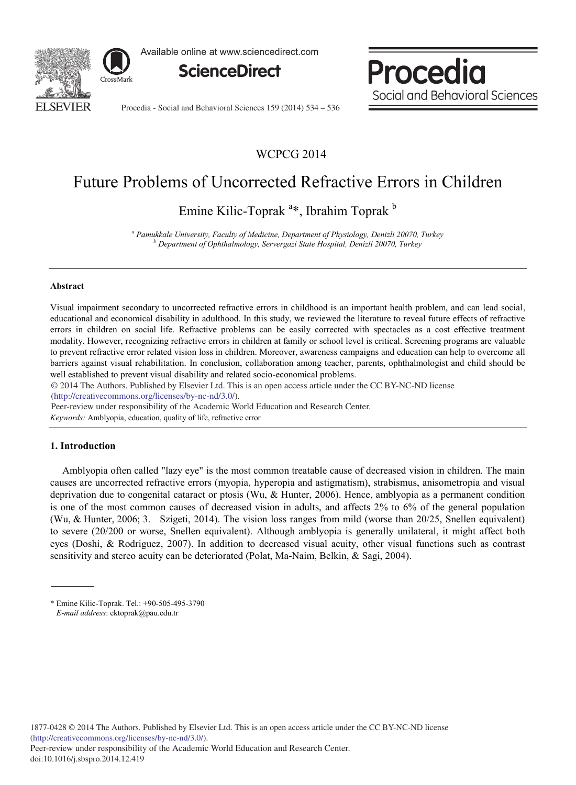

Available online at www.sciencedirect.com



Procedia Social and Behavioral Sciences

Procedia - Social and Behavioral Sciences 159 (2014) 534 – 536

## WCPCG 2014

# Future Problems of Uncorrected Refractive Errors in Children

Emine Kilic-Toprak<sup>a\*</sup>, Ibrahim Toprak<sup>b</sup>

*<sup>a</sup> Pamukkale University, Faculty of Medicine, Department of Physiology, Denizli 20070, Turkey <sup>b</sup> Department of Ophthalmology, Servergazi State Hospital, Denizli 20070, Turkey*

### **Abstract**

Visual impairment secondary to uncorrected refractive errors in childhood is an important health problem, and can lead social, educational and economical disability in adulthood. In this study, we reviewed the literature to reveal future effects of refractive errors in children on social life. Refractive problems can be easily corrected with spectacles as a cost effective treatment modality. However, recognizing refractive errors in children at family or school level is critical. Screening programs are valuable to prevent refractive error related vision loss in children. Moreover, awareness campaigns and education can help to overcome all barriers against visual rehabilitation. In conclusion, collaboration among teacher, parents, ophthalmologist and child should be well established to prevent visual disability and related socio-economical problems.

© 2014 The Authors. Published by Elsevier Ltd. © 2014 The Authors. Published by Elsevier Ltd. This is an open access article under the CC BY-NC-ND license (http://creativecommons.org/licenses/by-nc-nd/3.0/).

*Keywords:* Amblyopia, education, quality of life, refractive error Peer-review under responsibility of the Academic World Education and Research Center.

### **1. Introduction**

Amblyopia often called "lazy eye" is the most common treatable cause of decreased vision in children. The main causes are uncorrected refractive errors (myopia, hyperopia and astigmatism), strabismus, anisometropia and visual deprivation due to congenital cataract or ptosis (Wu, & Hunter, 2006). Hence, amblyopia as a permanent condition is one of the most common causes of decreased vision in adults, and affects 2% to 6% of the general population (Wu, & Hunter, 2006; 3. Szigeti, 2014). The vision loss ranges from mild (worse than 20/25, Snellen equivalent) to severe (20/200 or worse, Snellen equivalent). Although amblyopia is generally unilateral, it might affect both eyes (Doshi, & Rodriguez, 2007). In addition to decreased visual acuity, other visual functions such as contrast sensitivity and stereo acuity can be deteriorated (Polat, Ma-Naim, Belkin, & Sagi, 2004).

<sup>\*</sup> Emine Kilic-Toprak. Tel.: +90-505-495-3790  *E-mail address*: ektoprak@pau.edu.tr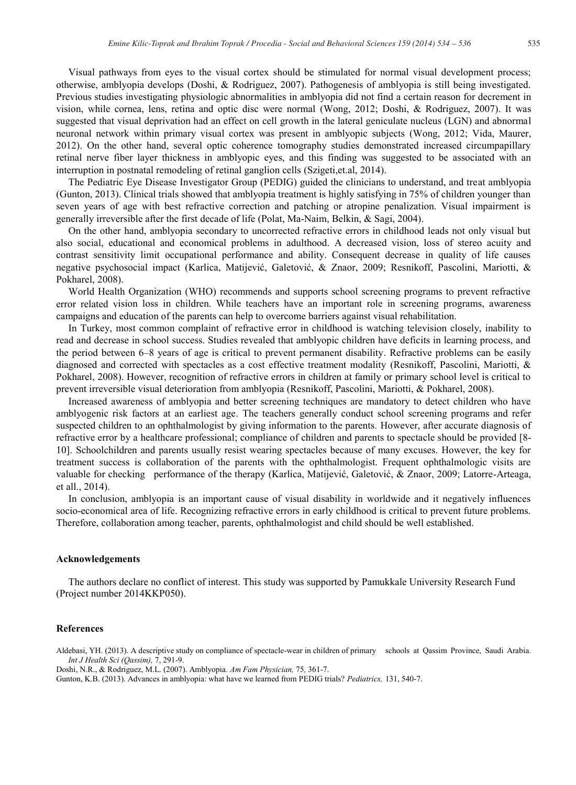Visual pathways from eyes to the visual cortex should be stimulated for normal visual development process; otherwise, amblyopia develops (Doshi, & Rodriguez, 2007). Pathogenesis of amblyopia is still being investigated. Previous studies investigating physiologic abnormalities in amblyopia did not find a certain reason for decrement in vision, while cornea, lens, retina and optic disc were normal (Wong, 2012; Doshi, & Rodriguez, 2007). It was suggested that visual deprivation had an effect on cell growth in the lateral geniculate nucleus (LGN) and abnormal neuronal network within primary visual cortex was present in amblyopic subjects (Wong, 2012; Vida, Maurer, 2012). On the other hand, several optic coherence tomography studies demonstrated increased circumpapillary retinal nerve fiber layer thickness in amblyopic eyes, and this finding was suggested to be associated with an interruption in postnatal remodeling of retinal ganglion cells (Szigeti,et.al, 2014).

The Pediatric Eye Disease Investigator Group (PEDIG) guided the clinicians to understand, and treat amblyopia (Gunton, 2013). Clinical trials showed that amblyopia treatment is highly satisfying in 75% of children younger than seven years of age with best refractive correction and patching or atropine penalization. Visual impairment is generally irreversible after the first decade of life (Polat, Ma-Naim, Belkin, & Sagi, 2004).

On the other hand, amblyopia secondary to uncorrected refractive errors in childhood leads not only visual but also social, educational and economical problems in adulthood. A decreased vision, loss of stereo acuity and contrast sensitivity limit occupational performance and ability. Consequent decrease in quality of life causes negative psychosocial impact (Karlica, Matijević, Galetović, & Znaor, 2009; Resnikoff, Pascolini, Mariotti, & Pokharel, 2008).

World Health Organization (WHO) recommends and supports school screening programs to prevent refractive error related vision loss in children. While teachers have an important role in screening programs, awareness campaigns and education of the parents can help to overcome barriers against visual rehabilitation.

In Turkey, most common complaint of refractive error in childhood is watching television closely, inability to read and decrease in school success. Studies revealed that amblyopic children have deficits in learning process, and the period between 6–8 years of age is critical to prevent permanent disability. Refractive problems can be easily diagnosed and corrected with spectacles as a cost effective treatment modality (Resnikoff, Pascolini, Mariotti, & Pokharel, 2008). However, recognition of refractive errors in children at family or primary school level is critical to prevent irreversible visual deterioration from amblyopia (Resnikoff, Pascolini, Mariotti, & Pokharel, 2008).

Increased awareness of amblyopia and better screening techniques are mandatory to detect children who have amblyogenic risk factors at an earliest age. The teachers generally conduct school screening programs and refer suspected children to an ophthalmologist by giving information to the parents. However, after accurate diagnosis of refractive error by a healthcare professional; compliance of children and parents to spectacle should be provided [8- 10]. Schoolchildren and parents usually resist wearing spectacles because of many excuses. However, the key for treatment success is collaboration of the parents with the ophthalmologist. Frequent ophthalmologic visits are valuable for checking performance of the therapy (Karlica, Matijević, Galetović, & Znaor, 2009; Latorre-Arteaga, et all., 2014).

In conclusion, amblyopia is an important cause of visual disability in worldwide and it negatively influences socio-economical area of life. Recognizing refractive errors in early childhood is critical to prevent future problems. Therefore, collaboration among teacher, parents, ophthalmologist and child should be well established.

#### **Acknowledgements**

The authors declare no conflict of interest. This study was supported by Pamukkale University Research Fund (Project number 2014KKP050).

#### **References**

Aldebasi, YH. (2013). A descriptive study on compliance of spectacle-wear in children of primary schools at Qassim Province, Saudi Arabia. *Int J Health Sci (Qassim),* 7, 291-9.

Doshi, N.R., & Rodriguez, M.L. (2007). Amblyopia. *Am Fam Physician,* 75*,* 361-7.

Gunton, K.B. (2013). Advances in amblyopia: what have we learned from PEDIG trials? *Pediatrics,* 131, 540-7.